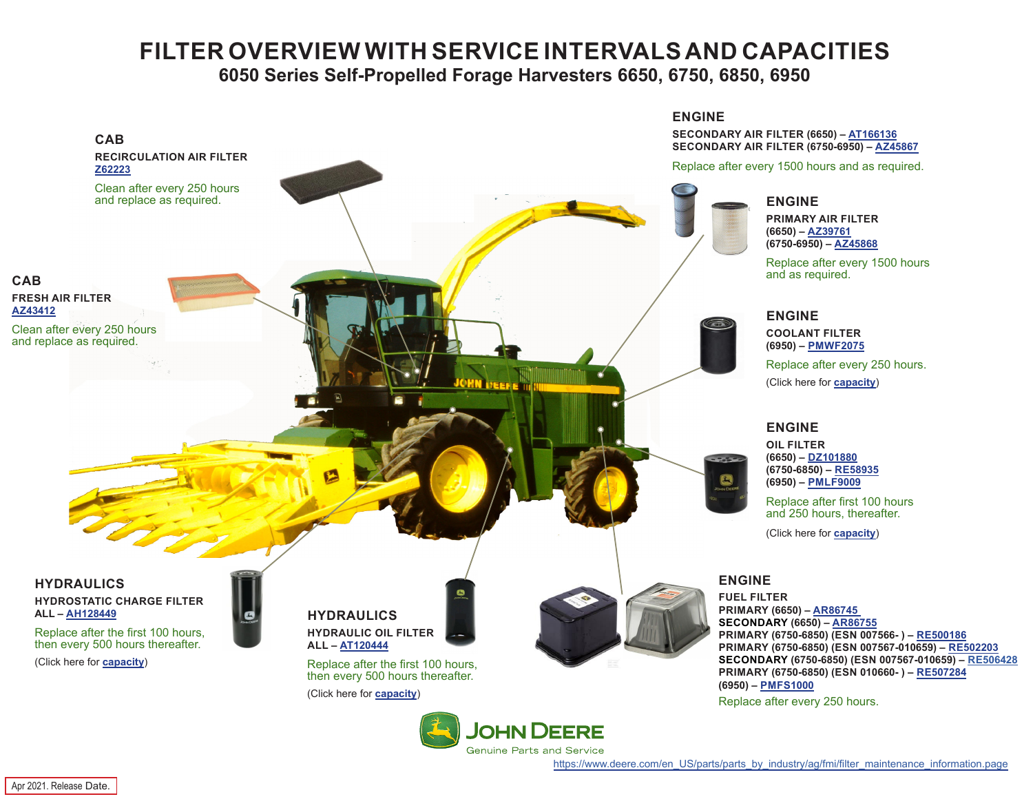# **FILTER OVERVIEW WITH SERVICE INTERVALS AND CAPACITIES**

**6050 Series Self-Propelled Forage Harvesters 6650, 6750, 6850, 6950**

<span id="page-0-0"></span>

Apr 2021. Release Date.